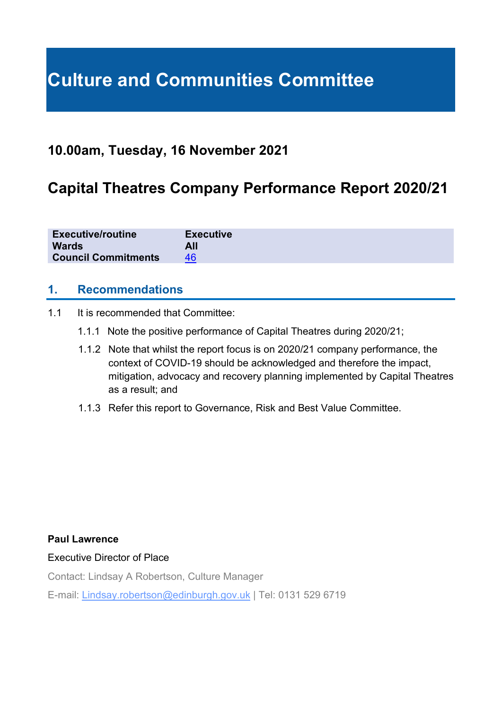# **Culture and Communities Committee**

### **10.00am, Tuesday, 16 November 2021**

## **Capital Theatres Company Performance Report 2020/21**

| <b>Executive/routine</b>   | <b>Executive</b> |
|----------------------------|------------------|
| <b>Wards</b>               | All              |
| <b>Council Commitments</b> | 46               |

#### **1. Recommendations**

- 1.1 It is recommended that Committee:
	- 1.1.1 Note the positive performance of Capital Theatres during 2020/21;
	- 1.1.2 Note that whilst the report focus is on 2020/21 company performance, the context of COVID-19 should be acknowledged and therefore the impact, mitigation, advocacy and recovery planning implemented by Capital Theatres as a result; and
	- 1.1.3 Refer this report to Governance, Risk and Best Value Committee.

#### **Paul Lawrence**

#### Executive Director of Place

Contact: Lindsay A Robertson, Culture Manager

E-mail: Lindsay.robertson@edinburgh.gov.uk | Tel: 0131 529 6719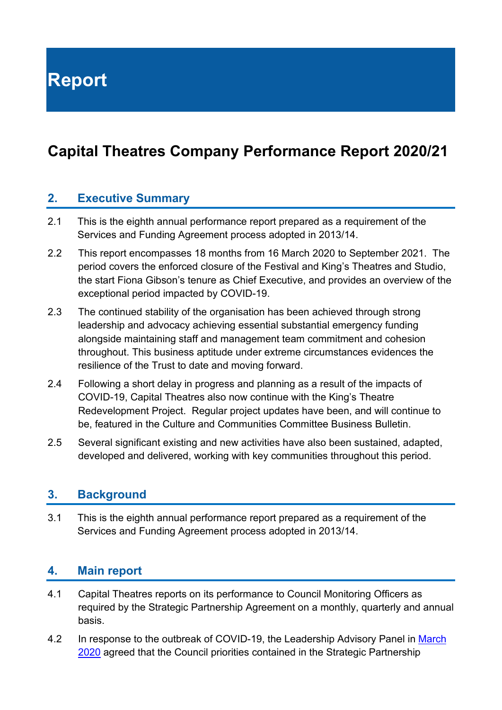**Report**

# **Capital Theatres Company Performance Report 2020/21**

#### **2. Executive Summary**

- 2.1 This is the eighth annual performance report prepared as a requirement of the Services and Funding Agreement process adopted in 2013/14.
- 2.2 This report encompasses 18 months from 16 March 2020 to September 2021. The period covers the enforced closure of the Festival and King's Theatres and Studio, the start Fiona Gibson's tenure as Chief Executive, and provides an overview of the exceptional period impacted by COVID-19.
- 2.3 The continued stability of the organisation has been achieved through strong leadership and advocacy achieving essential substantial emergency funding alongside maintaining staff and management team commitment and cohesion throughout. This business aptitude under extreme circumstances evidences the resilience of the Trust to date and moving forward.
- 2.4 Following a short delay in progress and planning as a result of the impacts of COVID-19, Capital Theatres also now continue with the King's Theatre Redevelopment Project. Regular project updates have been, and will continue to be, featured in the Culture and Communities Committee Business Bulletin.
- 2.5 Several significant existing and new activities have also been sustained, adapted, developed and delivered, working with key communities throughout this period.

#### **3. Background**

3.1 This is the eighth annual performance report prepared as a requirement of the Services and Funding Agreement process adopted in 2013/14.

#### **4. Main report**

- 4.1 Capital Theatres reports on its performance to Council Monitoring Officers as required by the Strategic Partnership Agreement on a monthly, quarterly and annual basis.
- 4.2 In response to the outbreak of COVID-19, the Leadership Advisory Panel in March [2020](https://democracy.edinburgh.gov.uk/ieListDocuments.aspx?CId=162&MId=5491&Ver=4) agreed that the Council priorities contained in the Strategic Partnership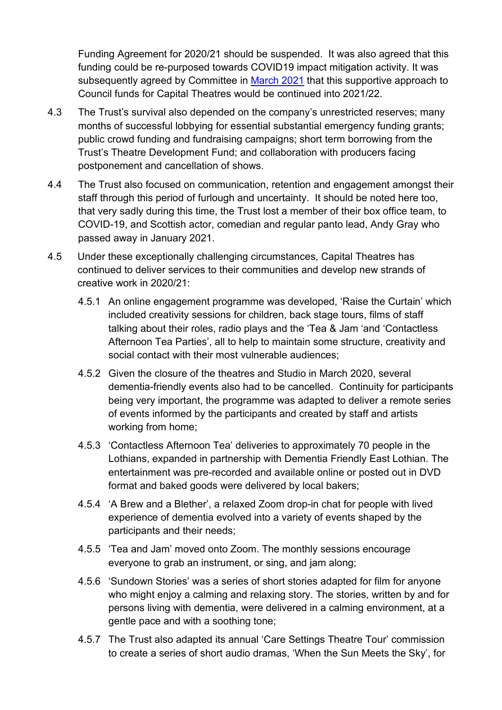Funding Agreement for 2020/21 should be suspended. It was also agreed that this funding could be re-purposed towards COVID19 impact mitigation activity. It was subsequently agreed by Committee in [March](https://democracy.edinburgh.gov.uk/ieListDocuments.aspx?CId=139&MId=5763&Ver=4) 2021 that this supportive approach to Council funds for Capital Theatres would be continued into 2021/22.

- 4.3 The Trust's survival also depended on the company's unrestricted reserves; many months of successful lobbying for essential substantial emergency funding grants; public crowd funding and fundraising campaigns; short term borrowing from the Trust's Theatre Development Fund; and collaboration with producers facing postponement and cancellation of shows.
- 4.4 The Trust also focused on communication, retention and engagement amongst their staff through this period of furlough and uncertainty. It should be noted here too, that very sadly during this time, the Trust lost a member of their box office team, to COVID-19, and Scottish actor, comedian and regular panto lead, Andy Gray who passed away in January 2021.
- 4.5 Under these exceptionally challenging circumstances, Capital Theatres has continued to deliver services to their communities and develop new strands of creative work in 2020/21:
	- 4.5.1 An online engagement programme was developed, 'Raise the Curtain' which included creativity sessions for children, back stage tours, films of staff talking about their roles, radio plays and the 'Tea & Jam 'and 'Contactless Afternoon Tea Parties', all to help to maintain some structure, creativity and social contact with their most vulnerable audiences;
	- 4.5.2 Given the closure of the theatres and Studio in March 2020, several dementia-friendly events also had to be cancelled. Continuity for participants being very important, the programme was adapted to deliver a remote series of events informed by the participants and created by staff and artists working from home;
	- 4.5.3 'Contactless Afternoon Tea' deliveries to approximately 70 people in the Lothians, expanded in partnership with Dementia Friendly East Lothian. The entertainment was pre-recorded and available online or posted out in DVD format and baked goods were delivered by local bakers;
	- 4.5.4 'A Brew and a Blether', a relaxed Zoom drop-in chat for people with lived experience of dementia evolved into a variety of events shaped by the participants and their needs;
	- 4.5.5 'Tea and Jam' moved onto Zoom. The monthly sessions encourage everyone to grab an instrument, or sing, and jam along;
	- 4.5.6 'Sundown Stories' was a series of short stories adapted for film for anyone who might enjoy a calming and relaxing story. The stories, written by and for persons living with dementia, were delivered in a calming environment, at a gentle pace and with a soothing tone;
	- 4.5.7 The Trust also adapted its annual 'Care Settings Theatre Tour' commission to create a series of short audio dramas, 'When the Sun Meets the Sky', for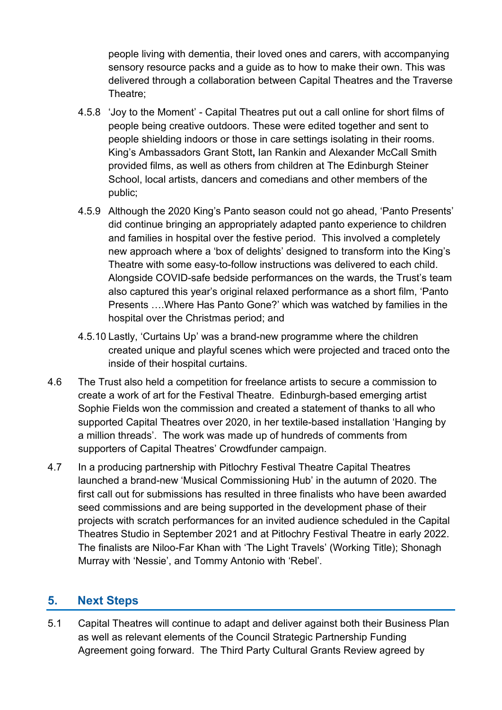people living with dementia, their loved ones and carers, with accompanying sensory resource packs and a guide as to how to make their own. This was delivered through a collaboration between Capital Theatres and the Traverse Theatre;

- 4.5.8 'Joy to the Moment' Capital Theatres put out a call online for short films of people being creative outdoors. These were edited together and sent to people shielding indoors or those in care settings isolating in their rooms. King's Ambassadors Grant Stott**,** Ian Rankin and Alexander McCall Smith provided films, as well as others from children at The Edinburgh Steiner School, local artists, dancers and comedians and other members of the public;
- 4.5.9 Although the 2020 King's Panto season could not go ahead, 'Panto Presents' did continue bringing an appropriately adapted panto experience to children and families in hospital over the festive period. This involved a completely new approach where a 'box of delights' designed to transform into the King's Theatre with some easy-to-follow instructions was delivered to each child. Alongside COVID-safe bedside performances on the wards, the Trust's team also captured this year's original relaxed performance as a short film, 'Panto Presents ….Where Has Panto Gone?' which was watched by families in the hospital over the Christmas period; and
- 4.5.10 Lastly, 'Curtains Up' was a brand-new programme where the children created unique and playful scenes which were projected and traced onto the inside of their hospital curtains.
- 4.6 The Trust also held a competition for freelance artists to secure a commission to create a work of art for the Festival Theatre. Edinburgh-based emerging artist Sophie Fields won the commission and created a statement of thanks to all who supported Capital Theatres over 2020, in her textile-based installation 'Hanging by a million threads'. The work was made up of hundreds of comments from supporters of Capital Theatres' Crowdfunder campaign.
- 4.7 In a producing partnership with Pitlochry Festival Theatre Capital Theatres launched a brand-new 'Musical Commissioning Hub' in the autumn of 2020. The first call out for submissions has resulted in three finalists who have been awarded seed commissions and are being supported in the development phase of their projects with scratch performances for an invited audience scheduled in the Capital Theatres Studio in September 2021 and at Pitlochry Festival Theatre in early 2022. The finalists are Niloo-Far Khan with 'The Light Travels' (Working Title); Shonagh Murray with 'Nessie', and Tommy Antonio with 'Rebel'.

#### **5. Next Steps**

5.1 Capital Theatres will continue to adapt and deliver against both their Business Plan as well as relevant elements of the Council Strategic Partnership Funding Agreement going forward. The Third Party Cultural Grants Review agreed by